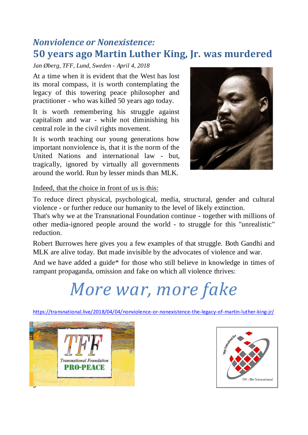## *Nonviolence or Nonexistence:* **50 years ago Martin Luther King, Jr. was murdered**

*Jan Øberg, TFF, Lund, Sweden - April 4, 2018*

At a time when it is evident that the West has lost its moral compass, it is worth contemplating the legacy of this towering peace philosopher and practitioner - who was killed 50 years ago today.

It is worth remembering his struggle against capitalism and war - while not diminishing his central role in the civil rights movement.

It is worth teaching our young generations how important nonviolence is, that it is the norm of the United Nations and international law - but, tragically, ignored by virtually all governments around the world. Run by lesser minds than MLK.



Indeed, that the choice in front of us is this:

To reduce direct physical, psychological, media, structural, gender and cultural violence - or further reduce our humanity to the level of likely extinction.

That's why we at the Transnational Foundation continue - together with millions of other media-ignored people around the world - to struggle for this "unrealistic" reduction.

Robert Burrowes here gives you a few examples of that struggle. Both Gandhi and MLK are alive today. But made invisible by the advocates of violence and war.

And we have added a guide\* for those who still believe in knowledge in times of rampant propaganda, omission and fake on which all violence thrives:

## *More war, more fake*

<https://transnational.live/2018/04/04/nonviolence-or-nonexistence-the-legacy-of-martin-luther-king-jr/>